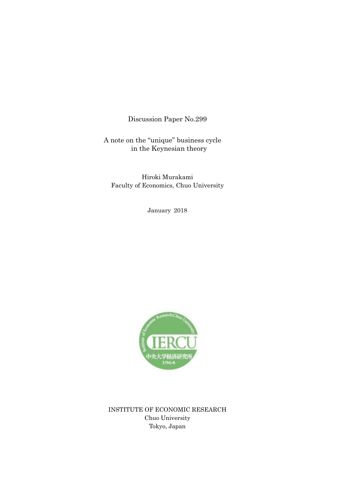Discussion Paper No.299

A note on the "unique" business cycle in the Keynesian theory

Hiroki Murakami Faculty of Economics, Chuo University

January 2018



INSTITUTE OF ECONOMIC RESEARCH Chuo University Tokyo, Japan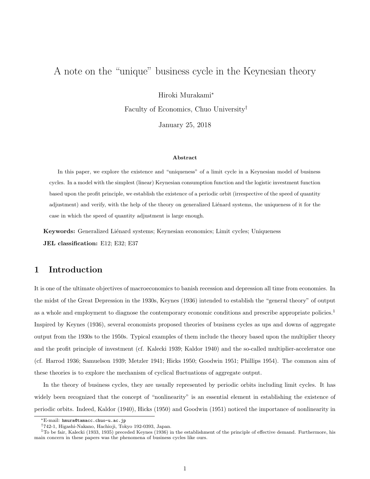# A note on the "unique" business cycle in the Keynesian theory

Hiroki Murakami<sup>∗</sup>

Faculty of Economics, Chuo University†

January 25, 2018

#### Abstract

In this paper, we explore the existence and "uniqueness" of a limit cycle in a Keynesian model of business cycles. In a model with the simplest (linear) Keynesian consumption function and the logistic investment function based upon the profit principle, we establish the existence of a periodic orbit (irrespective of the speed of quantity adjustment) and verify, with the help of the theory on generalized Liénard systems, the uniqueness of it for the case in which the speed of quantity adjustment is large enough.

Keywords: Generalized Liénard systems; Keynesian economics; Limit cycles; Uniqueness JEL classification: E12; E32; E37

## 1 Introduction

It is one of the ultimate objectives of macroeconomics to banish recession and depression all time from economies. In the midst of the Great Depression in the 1930s, Keynes (1936) intended to establish the "general theory" of output as a whole and employment to diagnose the contemporary economic conditions and prescribe appropriate policies.<sup>1</sup> Inspired by Keynes (1936), several economists proposed theories of business cycles as ups and downs of aggregate output from the 1930s to the 1950s. Typical examples of them include the theory based upon the multiplier theory and the profit principle of investment (cf. Kalecki 1939; Kaldor 1940) and the so-called multiplier-accelerator one (cf. Harrod 1936; Samuelson 1939; Metzler 1941; Hicks 1950; Goodwin 1951; Phillips 1954). The common aim of these theories is to explore the mechanism of cyclical fluctuations of aggregate output.

In the theory of business cycles, they are usually represented by periodic orbits including limit cycles. It has widely been recognized that the concept of "nonlinearity" is an essential element in establishing the existence of periodic orbits. Indeed, Kaldor (1940), Hicks (1950) and Goodwin (1951) noticed the importance of nonlinearity in

<sup>∗</sup>E-mail: hmura@tamacc.chuo-u.ac.jp

<sup>†</sup>742-1, Higashi-Nakano, Hachioji, Tokyo 192-0393, Japan.

 $1$ To be fair, Kalecki (1933, 1935) preceded Keynes (1936) in the establishment of the principle of effective demand. Furthermore, his main concern in these papers was the phenomena of business cycles like ours.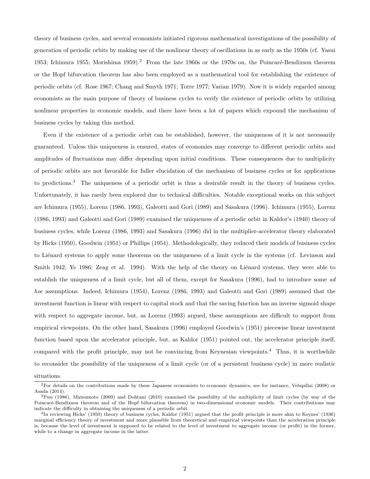theory of business cycles, and several economists initiated rigorous mathematical investigations of the possibility of generation of periodic orbits by making use of the nonlinear theory of oscillations in as early as the 1950s (cf. Yasui 1953; Ichimura 1955; Morishima 1959).<sup>2</sup> From the late 1960s or the 1970s on, the Poincaré-Bendixson theorem or the Hopf bifurcation theorem has also been employed as a mathematical tool for establishing the existence of periodic orbits (cf. Rose 1967; Chang and Smyth 1971; Torre 1977; Varian 1979). Now it is widely regarded among economists as the main purpose of theory of business cycles to verify the existence of periodic orbits by utilizing nonlinear properties in economic models, and there have been a lot of papers which expound the mechanism of business cycles by taking this method.

Even if the existence of a periodic orbit can be established, however, the uniqueness of it is not necessarily guaranteed. Unless this uniqueness is ensured, states of economies may converge to different periodic orbits and amplitudes of fluctuations may differ depending upon initial conditions. These consequences due to multiplicity of periodic orbits are not favorable for fuller elucidation of the mechanism of business cycles or for applications to predictions.<sup>3</sup> The uniqueness of a periodic orbit is thus a desirable result in the theory of business cycles. Unfortunately, it has rarely been explored due to technical difficulties. Notable exceptional works on this subject are Ichimura (1955), Lorenz (1986, 1993), Galeotti and Gori (1989) and Sasakura (1996). Ichimura (1955), Lorenz (1986, 1993) and Galeotti and Gori (1989) examined the uniqueness of a periodic orbit in Kaldor's (1940) theory of business cycles, while Lorenz (1986, 1993) and Sasakura (1996) did in the multiplier-accelerator theory elaborated by Hicks (1950), Goodwin (1951) or Phillips (1954). Methodologically, they reduced their models of business cycles to Liénard systems to apply some theorems on the uniqueness of a limit cycle in the systems (cf. Levinson and Smith 1942; Ye 1986; Zeng et al. 1994). With the help of the theory on Liénard systems, they were able to establish the uniqueness of a limit cycle, but all of them, except for Sasakura (1996), had to introduce some ad hoc assumptions. Indeed, Ichimura (1954), Lorenz (1986, 1993) and Galeotti and Gori (1989) assumed that the investment function is linear with respect to capital stock and that the saving function has an inverse sigmoid shape with respect to aggregate income, but, as Lorenz (1993) argued, these assumptions are difficult to support from empirical viewpoints. On the other hand, Sasakura (1996) employed Goodwin's (1951) piecewise linear investment function based upon the accelerator principle, but, as Kaldor (1951) pointed out, the accelerator principle itself, compared with the profit principle, may not be convincing from Keynesian viewpoints.<sup>4</sup> Thus, it is worthwhile to reconsider the possibility of the uniqueness of a limit cycle (or of a persistent business cycle) in more realistic

situations.

<sup>2</sup>For details on the contributions made by these Japanese economists to economic dynamics, see for instance, Velupillai (2008) or Asada (2014).

 $3$ Puu (1986), Matsumoto (2009) and Dohtani (2010) examined the possibility of the multiplicity of limit cycles (by way of the Poincaré-Bendixson theorem and of the Hopf bifurcation theorem) in two-dimensional economic models. Their contributions may indicate the difficulty in obtaining the uniqueness of a periodic orbit.

<sup>&</sup>lt;sup>4</sup>In reviewing Hicks' (1950) theory of business cycles, Kaldor (1951) argued that the profit principle is more akin to Keynes' (1936) marginal efficiency theory of investment and more plausible from theoretical and empirical viewpoints than the acceleration principle is, because the level of investment is supposed to be related to the level of investment to aggregate income (or profit) in the former, while to a change in aggregate income in the latter.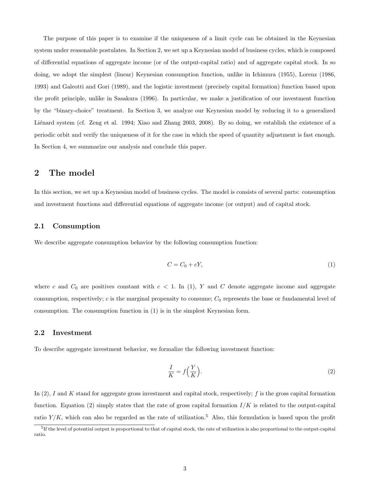The purpose of this paper is to examine if the uniqueness of a limit cycle can be obtained in the Keynesian system under reasonable postulates. In Section 2, we set up a Keynesian model of business cycles, which is composed of differential equations of aggregate income (or of the output-capital ratio) and of aggregate capital stock. In so doing, we adopt the simplest (linear) Keynesian consumption function, unlike in Ichimura (1955), Lorenz (1986, 1993) and Galeotti and Gori (1989), and the logistic investment (precisely capital formation) function based upon the profit principle, unlike in Sasakura (1996). In particular, we make a justification of our investment function by the "binary-choice" treatment. In Section 3, we analyze our Keynesian model by reducing it to a generalized Liénard system (cf. Zeng et al. 1994; Xiao and Zhang 2003, 2008). By so doing, we establish the existence of a periodic orbit and verify the uniqueness of it for the case in which the speed of quantity adjustment is fast enough. In Section 4, we summarize our analysis and conclude this paper.

### 2 The model

In this section, we set up a Keynesian model of business cycles. The model is consists of several parts: consumption and investment functions and differential equations of aggregate income (or output) and of capital stock.

#### 2.1 Consumption

We describe aggregate consumption behavior by the following consumption function:

$$
C = C_0 + cY,\tag{1}
$$

where c and  $C_0$  are positives constant with  $c < 1$ . In (1), Y and C denote aggregate income and aggregate consumption, respectively;  $c$  is the marginal propensity to consume;  $C_0$  represents the base or fundamental level of consumption. The consumption function in (1) is in the simplest Keynesian form.

#### 2.2 Investment

To describe aggregate investment behavior, we formalize the following investment function:

$$
\frac{I}{K} = f\left(\frac{Y}{K}\right). \tag{2}
$$

In  $(2)$ , I and K stand for aggregate gross investment and capital stock, respectively; f is the gross capital formation function. Equation (2) simply states that the rate of gross capital formation  $I/K$  is related to the output-capital ratio  $Y/K$ , which can also be regarded as the rate of utilization.<sup>5</sup> Also, this formulation is based upon the profit

<sup>&</sup>lt;sup>5</sup>If the level of potential output is proportional to that of capital stock, the rate of utilization is also proportional to the output-capital ratio.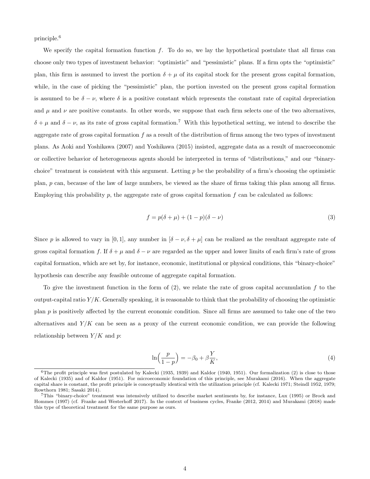principle.<sup>6</sup>

We specify the capital formation function  $f$ . To do so, we lay the hypothetical postulate that all firms can choose only two types of investment behavior: "optimistic" and "pessimistic" plans. If a firm opts the "optimistic" plan, this firm is assumed to invest the portion  $\delta + \mu$  of its capital stock for the present gross capital formation, while, in the case of picking the "pessimistic" plan, the portion invested on the present gross capital formation is assumed to be  $\delta - \nu$ , where  $\delta$  is a positive constant which represents the constant rate of capital depreciation and  $\mu$  and  $\nu$  are positive constants. In other words, we suppose that each firm selects one of the two alternatives,  $\delta + \mu$  and  $\delta - \nu$ , as its rate of gross capital formation.<sup>7</sup> With this hypothetical setting, we intend to describe the aggregate rate of gross capital formation  $f$  as a result of the distribution of firms among the two types of investment plans. As Aoki and Yoshikawa (2007) and Yoshikawa (2015) insisted, aggregate data as a result of macroeconomic or collective behavior of heterogeneous agents should be interpreted in terms of "distributions," and our "binarychoice" treatment is consistent with this argument. Letting  $p$  be the probability of a firm's choosing the optimistic plan, p can, because of the law of large numbers, be viewed as the share of firms taking this plan among all firms. Employing this probability  $p$ , the aggregate rate of gross capital formation  $f$  can be calculated as follows:

$$
f = p(\delta + \mu) + (1 - p)(\delta - \nu) \tag{3}
$$

Since p is allowed to vary in [0, 1], any number in  $[\delta - \nu, \delta + \mu]$  can be realized as the resultant aggregate rate of gross capital formation f. If  $\delta + \mu$  and  $\delta - \nu$  are regarded as the upper and lower limits of each firm's rate of gross capital formation, which are set by, for instance, economic, institutional or physical conditions, this "binary-choice" hypothesis can describe any feasible outcome of aggregate capital formation.

To give the investment function in the form of  $(2)$ , we relate the rate of gross capital accumulation f to the output-capital ratio  $Y/K$ . Generally speaking, it is reasonable to think that the probability of choosing the optimistic plan  $p$  is positively affected by the current economic condition. Since all firms are assumed to take one of the two alternatives and  $Y/K$  can be seen as a proxy of the current economic condition, we can provide the following relationship between  $Y/K$  and  $p$ :

$$
\ln\left(\frac{p}{1-p}\right) = -\beta_0 + \beta \frac{Y}{K},\tag{4}
$$

 $6$ The profit principle was first postulated by Kalecki (1935, 1939) and Kaldor (1940, 1951). Our formalization (2) is close to those of Kalecki (1935) and of Kaldor (1951). For microeconomic foundation of this principle, see Murakami (2016). When the aggregate capital share is constant, the profit principle is conceptually identical with the utilization principle (cf. Kalecki 1971; Steindl 1952, 1979; Rowthorn 1981; Sasaki 2014).

<sup>7</sup>This "binary-choice" treatment was intensively utilized to describe market sentiments by, for instance, Lux (1995) or Brock and Hommes (1997) (cf. Franke and Westerhoff 2017). In the context of business cycles, Franke (2012, 2014) and Murakami (2018) made this type of theoretical treatment for the same purpose as ours.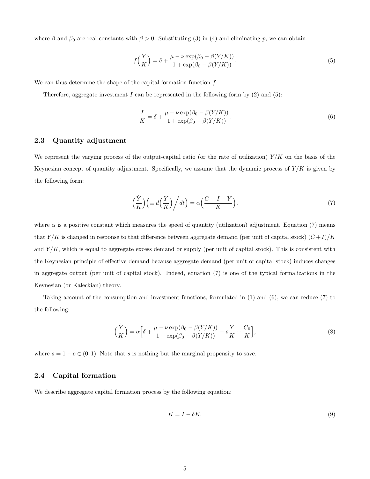where  $\beta$  and  $\beta_0$  are real constants with  $\beta > 0$ . Substituting (3) in (4) and eliminating p, we can obtain

$$
f\left(\frac{Y}{K}\right) = \delta + \frac{\mu - \nu \exp(\beta_0 - \beta(Y/K))}{1 + \exp(\beta_0 - \beta(Y/K))}.\tag{5}
$$

We can thus determine the shape of the capital formation function  $f$ .

Therefore, aggregate investment  $I$  can be represented in the following form by  $(2)$  and  $(5)$ :

$$
\frac{I}{K} = \delta + \frac{\mu - \nu \exp(\beta_0 - \beta(Y/K))}{1 + \exp(\beta_0 - \beta(Y/K))}.
$$
\n
$$
(6)
$$

#### 2.3 Quantity adjustment

We represent the varying process of the output-capital ratio (or the rate of utilization)  $Y/K$  on the basis of the Keynesian concept of quantity adjustment. Specifically, we assume that the dynamic process of  $Y/K$  is given by the following form:

$$
\left(\frac{\dot{Y}}{K}\right)\left(\equiv d\left(\frac{Y}{K}\right)\bigg/dt\right) = \alpha\left(\frac{C+I-Y}{K}\right),\tag{7}
$$

where  $\alpha$  is a positive constant which measures the speed of quantity (utilization) adjustment. Equation (7) means that  $Y/K$  is changed in response to that difference between aggregate demand (per unit of capital stock)  $(C+I)/K$ and  $Y/K$ , which is equal to aggregate excess demand or supply (per unit of capital stock). This is consistent with the Keynesian principle of effective demand because aggregate demand (per unit of capital stock) induces changes in aggregate output (per unit of capital stock). Indeed, equation (7) is one of the typical formalizations in the Keynesian (or Kaleckian) theory.

Taking account of the consumption and investment functions, formulated in (1) and (6), we can reduce (7) to the following:

$$
\left(\frac{\dot{Y}}{K}\right) = \alpha \left[\delta + \frac{\mu - \nu \exp(\beta_0 - \beta(Y/K))}{1 + \exp(\beta_0 - \beta(Y/K))} - s\frac{Y}{K} + \frac{C_0}{K}\right],\tag{8}
$$

where  $s = 1 - c \in (0, 1)$ . Note that s is nothing but the marginal propensity to save.

### 2.4 Capital formation

We describe aggregate capital formation process by the following equation:

$$
\dot{K} = I - \delta K. \tag{9}
$$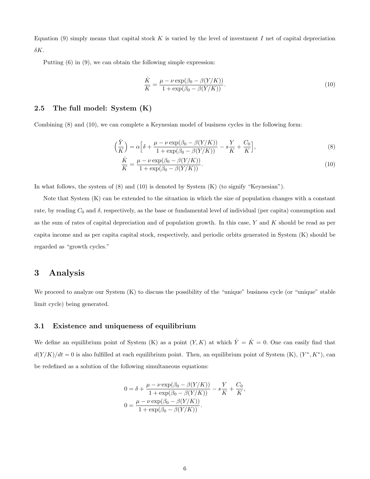Equation (9) simply means that capital stock K is varied by the level of investment I net of capital depreciation  $\delta K$ .

Putting (6) in (9), we can obtain the following simple expression:

$$
\frac{\dot{K}}{K} = \frac{\mu - \nu \exp(\beta_0 - \beta(Y/K))}{1 + \exp(\beta_0 - \beta(Y/K))}.
$$
\n(10)

#### 2.5 The full model: System (K)

Combining (8) and (10), we can complete a Keynesian model of business cycles in the following form:

$$
\left(\frac{\dot{Y}}{K}\right) = \alpha \left[\delta + \frac{\mu - \nu \exp(\beta_0 - \beta(Y/K))}{1 + \exp(\beta_0 - \beta(Y/K))} - s\frac{Y}{K} + \frac{C_0}{K}\right],\tag{8}
$$

$$
\frac{\dot{K}}{K} = \frac{\mu - \nu \exp(\beta_0 - \beta(Y/K))}{1 + \exp(\beta_0 - \beta(Y/K))}.
$$
\n(10)

In what follows, the system of (8) and (10) is denoted by System (K) (to signify "Keynesian").

Note that System (K) can be extended to the situation in which the size of population changes with a constant rate, by reading  $C_0$  and  $\delta$ , respectively, as the base or fundamental level of individual (per capita) consumption and as the sum of rates of capital depreciation and of population growth. In this case,  $Y$  and  $K$  should be read as per capita income and as per capita capital stock, respectively, and periodic orbits generated in System (K) should be regarded as "growth cycles."

## 3 Analysis

We proceed to analyze our System (K) to discuss the possibility of the "unique" business cycle (or "unique" stable limit cycle) being generated.

### 3.1 Existence and uniqueness of equilibrium

We define an equilibrium point of System (K) as a point  $(Y, K)$  at which  $\dot{Y} = \dot{K} = 0$ . One can easily find that  $d(Y/K)/dt = 0$  is also fulfilled at each equilibrium point. Then, an equilibrium point of System (K),  $(Y^*, K^*)$ , can be redefined as a solution of the following simultaneous equations:

$$
0 = \delta + \frac{\mu - \nu \exp(\beta_0 - \beta(Y/K))}{1 + \exp(\beta_0 - \beta(Y/K))} - s\frac{Y}{K} + \frac{C_0}{K},
$$
  

$$
0 = \frac{\mu - \nu \exp(\beta_0 - \beta(Y/K))}{1 + \exp(\beta_0 - \beta(Y/K))}.
$$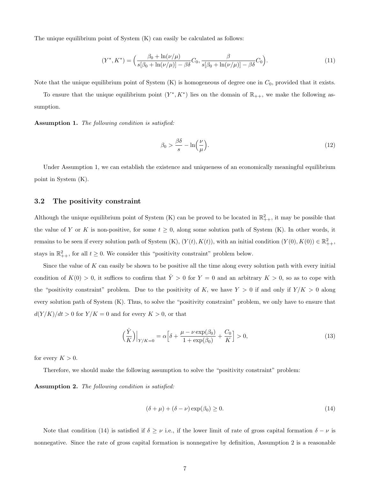The unique equilibrium point of System (K) can easily be calculated as follows:

$$
(Y^*, K^*) = \left(\frac{\beta_0 + \ln(\nu/\mu)}{s[\beta_0 + \ln(\nu/\mu)] - \beta\delta} C_0, \frac{\beta}{s[\beta_0 + \ln(\nu/\mu)] - \beta\delta} C_0\right).
$$
 (11)

Note that the unique equilibrium point of System  $(K)$  is homogeneous of degree one in  $C_0$ , provided that it exists.

To ensure that the unique equilibrium point  $(Y^*, K^*)$  lies on the domain of  $\mathbb{R}_{++}$ , we make the following assumption.

Assumption 1. The following condition is satisfied:

$$
\beta_0 > \frac{\beta \delta}{s} - \ln\left(\frac{\nu}{\mu}\right). \tag{12}
$$

Under Assumption 1, we can establish the existence and uniqueness of an economically meaningful equilibrium point in System (K).

### 3.2 The positivity constraint

Although the unique equilibrium point of System (K) can be proved to be located in  $\mathbb{R}^2_{++}$ , it may be possible that the value of Y or K is non-positive, for some  $t \geq 0$ , along some solution path of System (K). In other words, it remains to be seen if every solution path of System  $(K)$ ,  $(Y(t), K(t))$ , with an initial condition  $(Y(0), K(0)) \in \mathbb{R}^2_{++}$ , stays in  $\mathbb{R}^2_{++}$ , for all  $t \geq 0$ . We consider this "positivity constraint" problem below.

Since the value of  $K$  can easily be shown to be positive all the time along every solution path with every initial condition of  $K(0) > 0$ , it suffices to confirm that  $\dot{Y} > 0$  for  $Y = 0$  and an arbitrary  $K > 0$ , so as to cope with the "positivity constraint" problem. Due to the positivity of K, we have  $Y > 0$  if and only if  $Y/K > 0$  along every solution path of System (K). Thus, to solve the "positivity constraint" problem, we only have to ensure that  $d(Y/K)/dt > 0$  for  $Y/K = 0$  and for every  $K > 0$ , or that

$$
\left(\frac{\dot{Y}}{K}\right)\Big|_{Y/K=0} = \alpha \Big[\delta + \frac{\mu - \nu \exp(\beta_0)}{1 + \exp(\beta_0)} + \frac{C_0}{K}\Big] > 0,\tag{13}
$$

for every  $K > 0$ .

Therefore, we should make the following assumption to solve the "positivity constraint" problem:

Assumption 2. The following condition is satisfied:

$$
(\delta + \mu) + (\delta - \nu) \exp(\beta_0) \ge 0. \tag{14}
$$

Note that condition (14) is satisfied if  $\delta \geq \nu$  i.e., if the lower limit of rate of gross capital formation  $\delta - \nu$  is nonnegative. Since the rate of gross capital formation is nonnegative by definition, Assumption 2 is a reasonable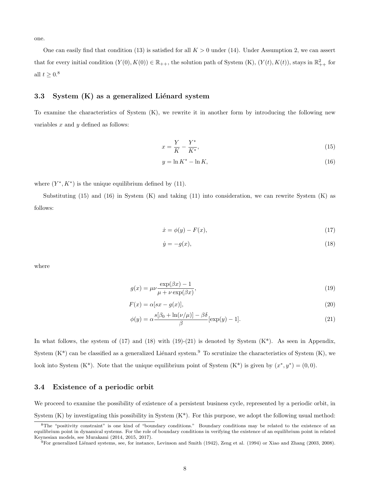one.

One can easily find that condition (13) is satisfied for all  $K > 0$  under (14). Under Assumption 2, we can assert that for every initial condition  $(Y(0), K(0)) \in \mathbb{R}_{++}$ , the solution path of System  $(K)$ ,  $(Y(t), K(t))$ , stays in  $\mathbb{R}^2_{++}$  for all  $t \geq 0.8$ 

### 3.3 System  $(K)$  as a generalized Liénard system

To examine the characteristics of System (K), we rewrite it in another form by introducing the following new variables  $x$  and  $y$  defined as follows:

$$
x = \frac{Y}{K} - \frac{Y^*}{K^*},\tag{15}
$$

$$
y = \ln K^* - \ln K,\tag{16}
$$

where  $(Y^*, K^*)$  is the unique equilibrium defined by (11).

Substituting (15) and (16) in System (K) and taking (11) into consideration, we can rewrite System (K) as follows:

$$
\dot{x} = \phi(y) - F(x),\tag{17}
$$

$$
\dot{y} = -g(x),\tag{18}
$$

where

$$
g(x) = \mu\nu \frac{\exp(\beta x) - 1}{\mu + \nu \exp(\beta x)},
$$
\n(19)

$$
F(x) = \alpha [sx - g(x)],
$$
\n(20)

$$
\phi(y) = \alpha \frac{s[\beta_0 + \ln(\nu/\mu)] - \beta \delta}{\beta} [\exp(y) - 1]. \tag{21}
$$

In what follows, the system of  $(17)$  and  $(18)$  with  $(19)-(21)$  is denoted by System  $(K^*)$ . As seen in Appendix, System  $(K^*)$  can be classified as a generalized Liénard system.<sup>9</sup> To scrutinize the characteristics of System  $(K)$ , we look into System (K<sup>\*</sup>). Note that the unique equilibrium point of System (K<sup>\*</sup>) is given by  $(x^*, y^*) = (0, 0)$ .

#### 3.4 Existence of a periodic orbit

We proceed to examine the possibility of existence of a persistent business cycle, represented by a periodic orbit, in System  $(K)$  by investigating this possibility in System  $(K^*)$ . For this purpose, we adopt the following usual method:

<sup>8</sup>The "positivity constraint" is one kind of "boundary conditions." Boundary conditions may be related to the existence of an equilibrium point in dynamical systems. For the role of boundary conditions in verifying the existence of an equilibrium point in related Keynesian models, see Murakami (2014, 2015, 2017).

 $^{9}$  For generalized Liénard systems, see, for instance, Levinson and Smith (1942), Zeng et al. (1994) or Xiao and Zhang (2003, 2008).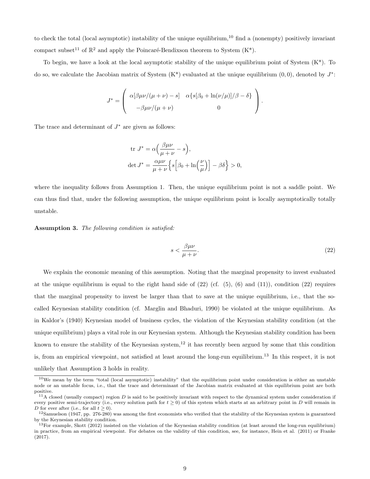to check the total (local asymptotic) instability of the unique equilibrium,<sup>10</sup> find a (nonempty) positively invariant compact subset<sup>11</sup> of  $\mathbb{R}^2$  and apply the Poincaré-Bendixson theorem to System (K<sup>\*</sup>).

To begin, we have a look at the local asymptotic stability of the unique equilibrium point of System (K\*). To do so, we calculate the Jacobian matrix of System  $(K^*)$  evaluated at the unique equilibrium  $(0,0)$ , denoted by  $J^*$ :

$$
J^* = \left( \begin{array}{cc} \alpha[\beta\mu\nu/(\mu+\nu) - s] & \alpha\{s[\beta_0 + \ln(\nu/\mu)]/\beta - \delta\} \\ -\beta\mu\nu/(\mu+\nu) & 0 \end{array} \right).
$$

The trace and determinant of  $J^*$  are given as follows:

$$
\text{tr } J^* = \alpha \left( \frac{\beta \mu \nu}{\mu + \nu} - s \right),
$$
  

$$
\text{det } J^* = \frac{\alpha \mu \nu}{\mu + \nu} \left\{ s \left[ \beta_0 + \ln \left( \frac{\nu}{\mu} \right) \right] - \beta \delta \right\} > 0,
$$

where the inequality follows from Assumption 1. Then, the unique equilibrium point is not a saddle point. We can thus find that, under the following assumption, the unique equilibrium point is locally asymptotically totally unstable.

Assumption 3. The following condition is satisfied:

$$
s < \frac{\beta \mu \nu}{\mu + \nu}.\tag{22}
$$

We explain the economic meaning of this assumption. Noting that the marginal propensity to invest evaluated at the unique equilibrium is equal to the right hand side of  $(22)$  (cf.  $(5)$ ,  $(6)$ ) and  $(11)$ ), condition  $(22)$  requires that the marginal propensity to invest be larger than that to save at the unique equilibrium, i.e., that the socalled Keynesian stability condition (cf. Marglin and Bhaduri, 1990) be violated at the unique equilibrium. As in Kaldor's (1940) Keynesian model of business cycles, the violation of the Keynesian stability condition (at the unique equilibrium) plays a vital role in our Keynesian system. Although the Keynesian stability condition has been known to ensure the stability of the Keynesian system,<sup>12</sup> it has recently been argued by some that this condition is, from an empirical viewpoint, not satisfied at least around the long-run equilibrium.<sup>13</sup> In this respect, it is not unlikely that Assumption 3 holds in reality.

<sup>10</sup>We mean by the term "total (local asymptotic) instability" that the equilibrium point under consideration is either an unstable node or an unstable focus, i.e., that the trace and determinant of the Jacobian matrix evaluated at this equilibrium point are both positive.

 $11$ A closed (usually compact) region D is said to be positively invariant with respect to the dynamical system under consideration if every positive semi-trajectory (i.e., every solution path for  $t \ge 0$ ) of this system which starts at an arbitrary point in D will remain in D for ever after (i.e., for all  $t > 0$ ).

 $12$ Samuelson (1947, pp. 276-280) was among the first economists who verified that the stability of the Keynesian system is guaranteed by the Keynesian stability condition.

 $13$  For example, Skott (2012) insisted on the violation of the Keynesian stability condition (at least around the long-run equilibrium) in practice, from an empirical viewpoint. For debates on the validity of this condition, see, for instance, Hein et al. (2011) or Franke (2017).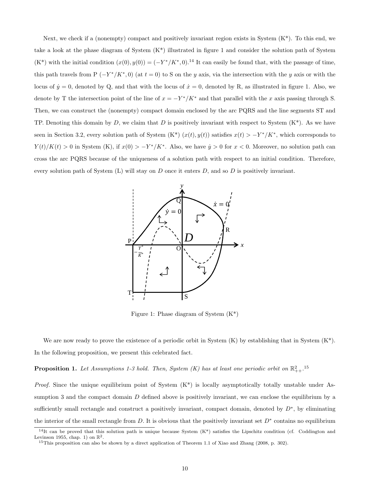Next, we check if a (nonempty) compact and positively invariant region exists in System  $(K^*)$ . To this end, we take a look at the phase diagram of System (K\*) illustrated in figure 1 and consider the solution path of System  $(K^*)$  with the initial condition  $(x(0), y(0)) = (-Y^*/K^*, 0)$ .<sup>14</sup> It can easily be found that, with the passage of time, this path travels from P  $(-Y^*/K^*,0)$  (at  $t=0$ ) to S on the y axis, via the intersection with the y axis or with the locus of  $\dot{y} = 0$ , denoted by Q, and that with the locus of  $\dot{x} = 0$ , denoted by R, as illustrated in figure 1. Also, we denote by T the intersection point of the line of  $x = -Y^*/K^*$  and that parallel with the x axis passing through S. Then, we can construct the (nonempty) compact domain enclosed by the arc PQRS and the line segments ST and TP. Denoting this domain by D, we claim that D is positively invariant with respect to System  $(K^*)$ . As we have seen in Section 3.2, every solution path of System  $(K^*)$   $(x(t), y(t))$  satisfies  $x(t) > -Y^*/K^*$ , which corresponds to  $Y(t)/K(t) > 0$  in System (K), if  $x(0) > -Y^*/K^*$ . Also, we have  $\dot{y} > 0$  for  $x < 0$ . Moreover, no solution path can cross the arc PQRS because of the uniqueness of a solution path with respect to an initial condition. Therefore, every solution path of System (L) will stay on  $D$  once it enters  $D$ , and so  $D$  is positively invariant.



Figure 1: Phase diagram of System (K\*)

We are now ready to prove the existence of a periodic orbit in System  $(K)$  by establishing that in System  $(K^*)$ . In the following proposition, we present this celebrated fact.

**Proposition 1.** Let Assumptions 1-3 hold. Then, System (K) has at least one periodic orbit on  $\mathbb{R}^2_{++}$ .<sup>15</sup>

*Proof.* Since the unique equilibrium point of System  $(K^*)$  is locally asymptotically totally unstable under Assumption 3 and the compact domain D defined above is positively invariant, we can enclose the equilibrium by a sufficiently small rectangle and construct a positively invariant, compact domain, denoted by  $D^*$ , by eliminating the interior of the small rectangle from D. It is obvious that the positively invariant set  $D^*$  contains no equilibrium

<sup>&</sup>lt;sup>14</sup>It can be proved that this solution path is unique because System  $(K^*)$  satisfies the Lipschitz condition (cf. Coddington and Levinson 1955, chap. 1) on  $\mathbb{R}^2$ .

<sup>&</sup>lt;sup>15</sup>This proposition can also be shown by a direct application of Theorem 1.1 of Xiao and Zhang (2008, p. 302).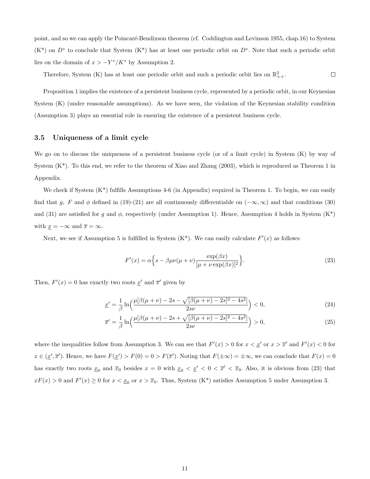point, and so we can apply the Poincaré-Bendixson theorem (cf. Coddington and Levinson 1955, chap.16) to System  $(K^*)$  on  $D^*$  to conclude that System  $(K^*)$  has at least one periodic orbit on  $D^*$ . Note that such a periodic orbit lies on the domain of  $x > -Y^*/K^*$  by Assumption 2.

Therefore, System (K) has at least one periodic orbit and such a periodic orbit lies on  $\mathbb{R}^2_{++}$ .  $\Box$ 

Proposition 1 implies the existence of a persistent business cycle, represented by a periodic orbit, in our Keynesian System (K) (under reasonable assumptions). As we have seen, the violation of the Keynesian stability condition (Assumption 3) plays an essential role in ensuring the existence of a persistent business cycle.

### 3.5 Uniqueness of a limit cycle

We go on to discuss the uniqueness of a persistent business cycle (or of a limit cycle) in System (K) by way of System  $(K^*)$ . To this end, we refer to the theorem of Xiao and Zhang (2003), which is reproduced as Theorem 1 in Appendix.

We check if System  $(K^*)$  fulfills Assumptions 4-6 (in Appendix) required in Theorem 1. To begin, we can easily find that g, F and  $\phi$  defined in (19)-(21) are all continuously differentiable on  $(-\infty, \infty)$  and that conditions (30) and (31) are satisfied for g and  $\phi$ , respectively (under Assumption 1). Hence, Assumption 4 holds in System (K<sup>\*</sup>) with  $\underline{x} = -\infty$  and  $\overline{x} = \infty$ .

Next, we see if Assumption 5 is fulfilled in System  $(K^*)$ . We can easily calculate  $F'(x)$  as follows:

$$
F'(x) = \alpha \left\{ s - \beta \mu \nu (\mu + \nu) \frac{\exp(\beta x)}{[\mu + \nu \exp(\beta x)]^2} \right\}.
$$
 (23)

Then,  $F'(x) = 0$  has exactly two roots  $\underline{x}'$  and  $\overline{x}'$  given by

$$
\underline{x}' = \frac{1}{\beta} \ln \left( \frac{\mu[\beta(\mu + \nu) - 2s - \sqrt{[\beta(\mu + \nu) - 2s]^2 - 4s^2}]}{2s\nu} \right) < 0,\tag{24}
$$

$$
\overline{x}' = \frac{1}{\beta} \ln \left( \frac{\mu[\beta(\mu + \nu) - 2s + \sqrt{[\beta(\mu + \nu) - 2s]^2 - 4s^2}]}{2s\nu} \right) > 0,
$$
\n(25)

where the inequalities follow from Assumption 3. We can see that  $F'(x) > 0$  for  $x < \underline{x}'$  or  $x > \overline{x}'$  and  $F'(x) < 0$  for  $x \in (\underline{x}', \overline{x}')$ . Hence, we have  $F(\underline{x}') > F(0) = 0 > F(\overline{x}')$ . Noting that  $F(\pm \infty) = \pm \infty$ , we can conclude that  $F(x) = 0$ has exactly two roots  $\underline{x}_0$  and  $\overline{x}_0$  besides  $x = 0$  with  $\underline{x}_0 < \underline{x}' < 0 < \overline{x}' < \overline{x}_0$ . Also, it is obvious from (23) that  $xF(x) > 0$  and  $F'(x) \ge 0$  for  $x < \underline{x}_0$  or  $x > \overline{x}_0$ . Thus, System (K<sup>\*</sup>) satisfies Assumption 5 under Assumption 3.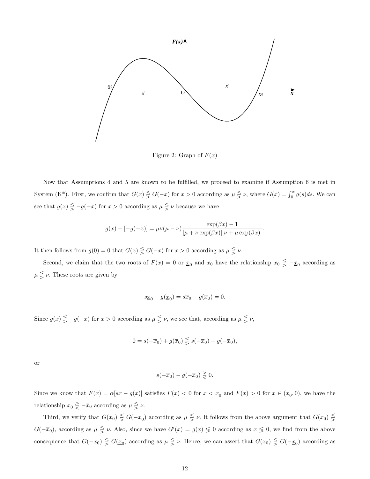

Figure 2: Graph of  $F(x)$ 

Now that Assumptions 4 and 5 are known to be fulfilled, we proceed to examine if Assumption 6 is met in System (K<sup>\*</sup>). First, we confirm that  $G(x) \leq G(-x)$  for  $x > 0$  according as  $\mu \leq \nu$ , where  $G(x) = \int_0^x g(s)ds$ . We can see that  $g(x) \leq -g(-x)$  for  $x > 0$  according as  $\mu \leq \nu$  because we have

$$
g(x) - [-g(-x)] = \mu\nu(\mu - \nu) \frac{\exp(\beta x) - 1}{[\mu + \nu \exp(\beta x)][\nu + \mu \exp(\beta x)]}.
$$

It then follows from  $g(0) = 0$  that  $G(x) \leq G(-x)$  for  $x > 0$  according as  $\mu \leq \nu$ .

Second, we claim that the two roots of  $F(x) = 0$  or  $\underline{x}_0$  and  $\overline{x}_0$  have the relationship  $\overline{x}_0 \leq -\underline{x}_0$  according as  $\mu \leq \nu$ . These roots are given by

$$
s\underline{x}_0 - g(\underline{x}_0) = s\overline{x}_0 - g(\overline{x}_0) = 0.
$$

Since  $g(x) \leq -g(-x)$  for  $x > 0$  according as  $\mu \leq \nu$ , we see that, according as  $\mu \leq \nu$ ,

$$
0 = s(-\overline{x}_0) + g(\overline{x}_0) \leq s(-\overline{x}_0) - g(-\overline{x}_0),
$$

or

$$
s(-\overline{x}_0) - g(-\overline{x}_0) \gtreqless 0.
$$

Since we know that  $F(x) = \alpha[sx - g(x)]$  satisfies  $F(x) < 0$  for  $x < x_0$  and  $F(x) > 0$  for  $x \in (x_0, 0)$ , we have the relationship  $\underline{x}_0 \geq -\overline{x}_0$  according as  $\mu \leq \nu$ .

Third, we verify that  $G(\overline{x}_0) \leq G(-\underline{x}_0)$  according as  $\mu \leq \nu$ . It follows from the above argument that  $G(\overline{x}_0) \leq$  $G(-\overline{x}_0)$ , according as  $\mu \leq \nu$ . Also, since we have  $G'(x) = g(x) \leq 0$  according as  $x \leq 0$ , we find from the above consequence that  $G(-\overline{x}_0) \leq G(\underline{x}_0)$  according as  $\mu \leq \nu$ . Hence, we can assert that  $G(\overline{x}_0) \leq G(-\underline{x}_0)$  according as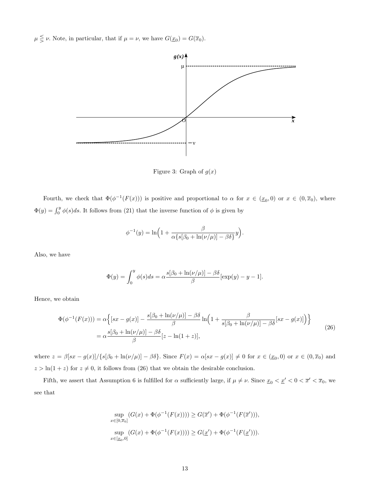$\mu \leqq \nu$ . Note, in particular, that if  $\mu = \nu$ , we have  $G(\underline{x}_0) = G(\overline{x}_0)$ .



Figure 3: Graph of  $g(x)$ 

Fourth, we check that  $\Phi(\phi^{-1}(F(x)))$  is positive and proportional to  $\alpha$  for  $x \in (\underline{x}_0, 0)$  or  $x \in (0, \overline{x}_0)$ , where  $\Phi(y) = \int_0^y \phi(s)ds$ . It follows from (21) that the inverse function of  $\phi$  is given by

$$
\phi^{-1}(y) = \ln\left(1 + \frac{\beta}{\alpha \{s[\beta_0 + \ln(\nu/\mu)] - \beta \delta\}}y\right).
$$

Also, we have

$$
\Phi(y) = \int_0^y \phi(s)ds = \alpha \frac{s[\beta_0 + \ln(\nu/\mu)] - \beta \delta}{\beta} [\exp(y) - y - 1].
$$

Hence, we obtain

$$
\Phi(\phi^{-1}(F(x))) = \alpha \left\{ [sx - g(x)] - \frac{s[\beta_0 + \ln(\nu/\mu)] - \beta \delta}{\beta} \ln\left(1 + \frac{\beta}{s[\beta_0 + \ln(\nu/\mu)] - \beta \delta} [sx - g(x)]\right) \right\}
$$
  
= 
$$
\alpha \frac{s[\beta_0 + \ln(\nu/\mu)] - \beta \delta}{\beta} [z - \ln(1+z)],
$$
\n(26)

where  $z = \beta[sx - g(x)]/\{s[\beta_0 + \ln(\nu/\mu)] - \beta\delta\}$ . Since  $F(x) = \alpha[sx - g(x)] \neq 0$  for  $x \in (\underline{x}_0, 0)$  or  $x \in (0, \overline{x}_0)$  and  $z > \ln(1 + z)$  for  $z \neq 0$ , it follows from (26) that we obtain the desirable conclusion.

Fifth, we assert that Assumption 6 is fulfilled for  $\alpha$  sufficiently large, if  $\mu \neq \nu$ . Since  $\underline{x}_0 < \underline{x}' < 0 < \overline{x}' < \overline{x}_0$ , we see that

$$
\sup_{x \in [0,\overline{x}_0]} (G(x) + \Phi(\phi^{-1}(F(x)))) \ge G(\overline{x}') + \Phi(\phi^{-1}(F(\overline{x}'))),
$$
  

$$
\sup_{x \in [\underline{x}_0,0]} (G(x) + \Phi(\phi^{-1}(F(x)))) \ge G(\underline{x}') + \Phi(\phi^{-1}(F(\underline{x}'))).
$$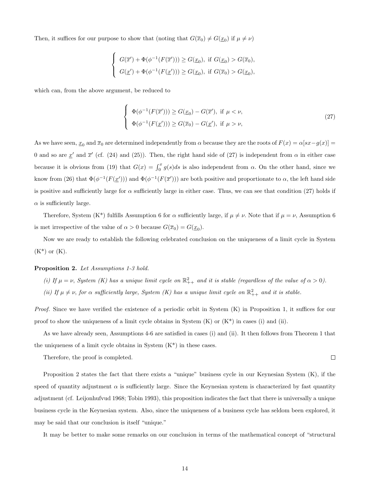Then, it suffices for our purpose to show that (noting that  $G(\overline{x}_0) \neq G(\underline{x}_0)$  if  $\mu \neq \nu$ )

$$
\begin{cases} G(\overline{x}') + \Phi(\phi^{-1}(F(\overline{x}'))) \ge G(\underline{x}_0), \text{ if } G(\underline{x}_0) > G(\overline{x}_0), \\ G(\underline{x}') + \Phi(\phi^{-1}(F(\underline{x}'))) \ge G(\underline{x}_0), \text{ if } G(\overline{x}_0) > G(\underline{x}_0), \end{cases}
$$

which can, from the above argument, be reduced to

$$
\begin{cases}\n\Phi(\phi^{-1}(F(\overline{x}'))) \ge G(\underline{x}_0) - G(\overline{x}'), \text{ if } \mu < \nu, \\
\Phi(\phi^{-1}(F(\underline{x}'))) \ge G(\overline{x}_0) - G(\underline{x}'), \text{ if } \mu > \nu,\n\end{cases} \tag{27}
$$

As we have seen,  $\underline{x}_0$  and  $\overline{x}_0$  are determined independently from  $\alpha$  because they are the roots of  $F(x) = \alpha[sx - g(x)] =$ 0 and so are  $\underline{x}'$  and  $\overline{x}'$  (cf. (24) and (25)). Then, the right hand side of (27) is independent from  $\alpha$  in either case because it is obvious from (19) that  $G(x) = \int_0^x g(s)ds$  is also independent from  $\alpha$ . On the other hand, since we know from (26) that  $\Phi(\phi^{-1}(F(\underline{x}')))$  and  $\Phi(\phi^{-1}(F(\overline{x}')))$  are both positive and proportionate to  $\alpha$ , the left hand side is positive and sufficiently large for  $\alpha$  sufficiently large in either case. Thus, we can see that condition (27) holds if  $\alpha$  is sufficiently large.

Therefore, System (K<sup>\*</sup>) fulfills Assumption 6 for  $\alpha$  sufficiently large, if  $\mu \neq \nu$ . Note that if  $\mu = \nu$ , Assumption 6 is met irrespective of the value of  $\alpha > 0$  because  $G(\overline{x}_0) = G(\underline{x}_0)$ .

Now we are ready to establish the following celebrated conclusion on the uniqueness of a limit cycle in System  $(K^*)$  or  $(K)$ .

#### Proposition 2. Let Assumptions 1-3 hold.

(i) If  $\mu = \nu$ , System (K) has a unique limit cycle on  $\mathbb{R}^2_{++}$  and it is stable (regardless of the value of  $\alpha > 0$ ).

(ii) If  $\mu \neq \nu$ , for  $\alpha$  sufficiently large, System (K) has a unique limit cycle on  $\mathbb{R}^2_{++}$  and it is stable.

Proof. Since we have verified the existence of a periodic orbit in System (K) in Proposition 1, it suffices for our proof to show the uniqueness of a limit cycle obtains in System  $(K)$  or  $(K^*)$  in cases (i) and (ii).

As we have already seen, Assumptions 4-6 are satisfied in cases (i) and (ii). It then follows from Theorem 1 that the uniqueness of a limit cycle obtains in System  $(K^*)$  in these cases.

Therefore, the proof is completed.

 $\Box$ 

Proposition 2 states the fact that there exists a "unique" business cycle in our Keynesian System (K), if the speed of quantity adjustment  $\alpha$  is sufficiently large. Since the Keynesian system is characterized by fast quantity adjustment (cf. Leijonhufvud 1968; Tobin 1993), this proposition indicates the fact that there is universally a unique business cycle in the Keynesian system. Also, since the uniqueness of a business cycle has seldom been explored, it may be said that our conclusion is itself "unique."

It may be better to make some remarks on our conclusion in terms of the mathematical concept of "structural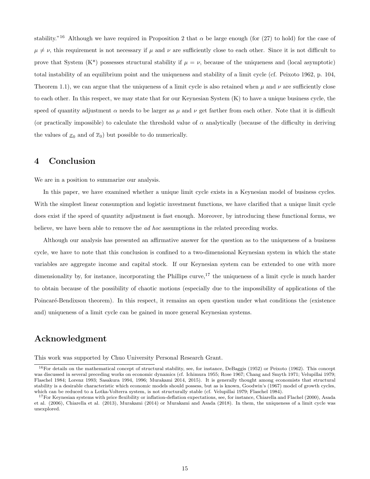stability."<sup>16</sup> Although we have required in Proposition 2 that  $\alpha$  be large enough (for (27) to hold) for the case of  $\mu \neq \nu$ , this requirement is not necessary if  $\mu$  and  $\nu$  are sufficiently close to each other. Since it is not difficult to prove that System (K\*) possesses structural stability if  $\mu = \nu$ , because of the uniqueness and (local asymptotic) total instability of an equilibrium point and the uniqueness and stability of a limit cycle (cf. Peixoto 1962, p. 104, Theorem 1.1), we can argue that the uniqueness of a limit cycle is also retained when  $\mu$  and  $\nu$  are sufficiently close to each other. In this respect, we may state that for our Keynesian System (K) to have a unique business cycle, the speed of quantity adjustment  $\alpha$  needs to be larger as  $\mu$  and  $\nu$  get farther from each other. Note that it is difficult (or practically impossible) to calculate the threshold value of  $\alpha$  analytically (because of the difficulty in deriving the values of  $\underline{x}_0$  and of  $\overline{x}_0$ ) but possible to do numerically.

### 4 Conclusion

We are in a position to summarize our analysis.

In this paper, we have examined whether a unique limit cycle exists in a Keynesian model of business cycles. With the simplest linear consumption and logistic investment functions, we have clarified that a unique limit cycle does exist if the speed of quantity adjustment is fast enough. Moreover, by introducing these functional forms, we believe, we have been able to remove the ad hoc assumptions in the related preceding works.

Although our analysis has presented an affirmative answer for the question as to the uniqueness of a business cycle, we have to note that this conclusion is confined to a two-dimensional Keynesian system in which the state variables are aggregate income and capital stock. If our Keynesian system can be extended to one with more dimensionality by, for instance, incorporating the Phillips curve,<sup>17</sup> the uniqueness of a limit cycle is much harder to obtain because of the possibility of chaotic motions (especially due to the impossibility of applications of the Poincaré-Bendixson theorem). In this respect, it remains an open question under what conditions the (existence and) uniqueness of a limit cycle can be gained in more general Keynesian systems.

## Acknowledgment

This work was supported by Chuo University Personal Research Grant.

<sup>&</sup>lt;sup>16</sup>For details on the mathematical concept of structural stability, see, for instance, DeBaggis (1952) or Peixoto (1962). This concept was discussed in several preceding works on economic dynamics (cf. Ichimura 1955; Rose 1967; Chang and Smyth 1971; Velupillai 1979; Flaschel 1984; Lorenz 1993; Sasakura 1994, 1996; Murakami 2014, 2015). It is generally thought among economists that structural stability is a desirable characteristic which economic models should possess, but as is known, Goodwin's (1967) model of growth cycles, which can be reduced to a Lotka-Volterra system, is not structurally stable (cf. Velupillai 1979; Flaschel 1984).

<sup>&</sup>lt;sup>17</sup>For Keynesian systems with price flexibility or inflation-deflation expectations, see, for instance, Chiarella and Flachel (2000), Asada et al. (2006), Chiarella et al. (2013), Murakami (2014) or Murakami and Asada (2018). In them, the uniqueness of a limit cycle was unexplored.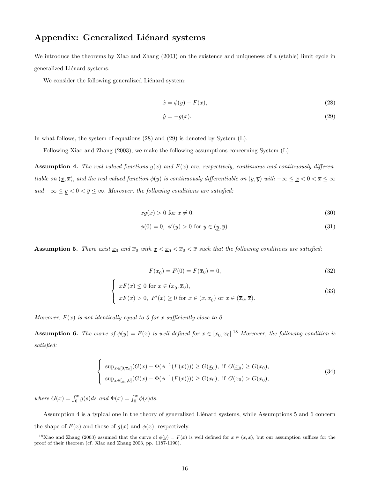## Appendix: Generalized Liénard systems

We introduce the theorems by Xiao and Zhang (2003) on the existence and uniqueness of a (stable) limit cycle in generalized Liénard systems.

We consider the following generalized Liénard system:

$$
\dot{x} = \phi(y) - F(x),\tag{28}
$$

$$
\dot{y} = -g(x). \tag{29}
$$

In what follows, the system of equations (28) and (29) is denoted by System (L).

Following Xiao and Zhang (2003), we make the following assumptions concerning System (L).

**Assumption 4.** The real valued functions  $g(x)$  and  $F(x)$  are, respectively, continuous and continuously differentiable on  $(\underline{x}, \overline{x})$ , and the real valued function  $\phi(y)$  is continuously differentiable on  $(\underline{y}, \overline{y})$  with  $-\infty \leq \underline{x} < 0 < \overline{x} \leq \infty$ and  $-\infty \le y < 0 < \overline{y} \le \infty$ . Moreover, the following conditions are satisfied:

$$
xg(x) > 0 \text{ for } x \neq 0,
$$
\n
$$
(30)
$$

$$
\phi(0) = 0, \ \phi'(y) > 0 \text{ for } y \in (y, \overline{y}). \tag{31}
$$

**Assumption 5.** There exist  $\underline{x}_0$  and  $\overline{x}_0$  with  $\underline{x} < \underline{x}_0 < \overline{x}$  and that the following conditions are satisfied:

$$
F(\underline{x}_0) = F(0) = F(\overline{x}_0) = 0,\t\t(32)
$$

$$
\begin{cases}\nxF(x) \le 0 \text{ for } x \in (\underline{x}_0, \overline{x}_0), \\
xF(x) > 0, \ F'(x) \ge 0 \text{ for } x \in (\underline{x}, \underline{x}_0) \text{ or } x \in (\overline{x}_0, \overline{x}).\n\end{cases}
$$
\n(33)

Moreover,  $F(x)$  is not identically equal to 0 for x sufficiently close to 0.

**Assumption 6.** The curve of  $\phi(y) = F(x)$  is well defined for  $x \in [\underline{x}_0, \overline{x}_0]$ .<sup>18</sup> Moreover, the following condition is satisfied:

$$
\begin{cases} \sup_{x \in [0,\overline{x}_0]} (G(x) + \Phi(\phi^{-1}(F(x)))) \ge G(\underline{x}_0), \text{ if } G(\underline{x}_0) \ge G(\overline{x}_0), \\ \sup_{x \in [\underline{x}_0,0]} (G(x) + \Phi(\phi^{-1}(F(x)))) \ge G(\overline{x}_0), \text{ if } G(\overline{x}_0) > G(\underline{x}_0), \end{cases}
$$
(34)

where  $G(x) = \int_0^x g(s)ds$  and  $\Phi(x) = \int_0^x \phi(s)ds$ .

Assumption 4 is a typical one in the theory of generalized Liénard systems, while Assumptions 5 and 6 concern the shape of  $F(x)$  and those of  $g(x)$  and  $\phi(x)$ , respectively.

<sup>&</sup>lt;sup>18</sup>Xiao and Zhang (2003) assumed that the curve of  $\phi(y) = F(x)$  is well defined for  $x \in (\underline{x}, \overline{x})$ , but our assumption suffices for the proof of their theorem (cf. Xiao and Zhang 2003, pp. 1187-1190).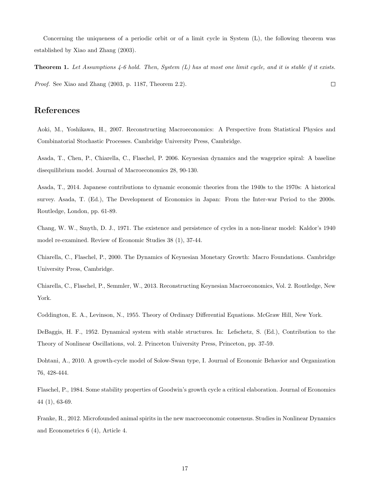Concerning the uniqueness of a periodic orbit or of a limit cycle in System (L), the following theorem was established by Xiao and Zhang (2003).

**Theorem 1.** Let Assumptions 4-6 hold. Then, System  $(L)$  has at most one limit cycle, and it is stable if it exists. Proof. See Xiao and Zhang (2003, p. 1187, Theorem 2.2).  $\Box$ 

# References

Aoki, M., Yoshikawa, H., 2007. Reconstructing Macroeconomics: A Perspective from Statistical Physics and Combinatorial Stochastic Processes. Cambridge University Press, Cambridge.

Asada, T., Chen, P., Chiarella, C., Flaschel, P. 2006. Keynesian dynamics and the wageprice spiral: A baseline disequilibrium model. Journal of Macroeconomics 28, 90-130.

Asada, T., 2014. Japanese contributions to dynamic economic theories from the 1940s to the 1970s: A historical survey. Asada, T. (Ed.), The Development of Economics in Japan: From the Inter-war Period to the 2000s. Routledge, London, pp. 61-89.

Chang, W. W., Smyth, D. J., 1971. The existence and persistence of cycles in a non-linear model: Kaldor's 1940 model re-examined. Review of Economic Studies 38 (1), 37-44.

Chiarella, C., Flaschel, P., 2000. The Dynamics of Keynesian Monetary Growth: Macro Foundations. Cambridge University Press, Cambridge.

Chiarella, C., Flaschel, P., Semmler, W., 2013. Reconstructing Keynesian Macroeconomics, Vol. 2. Routledge, New York.

Coddington, E. A., Levinson, N., 1955. Theory of Ordinary Differential Equations. McGraw Hill, New York.

DeBaggis, H. F., 1952. Dynamical system with stable structures. In: Lefschetz, S. (Ed.), Contribution to the Theory of Nonlinear Oscillations, vol. 2. Princeton University Press, Princeton, pp. 37-59.

Dohtani, A., 2010. A growth-cycle model of Solow-Swan type, I. Journal of Economic Behavior and Organization 76, 428-444.

Flaschel, P., 1984. Some stability properties of Goodwin's growth cycle a critical elaboration. Journal of Economics 44 (1), 63-69.

Franke, R., 2012. Microfounded animal spirits in the new macroeconomic consensus. Studies in Nonlinear Dynamics and Econometrics 6 (4), Article 4.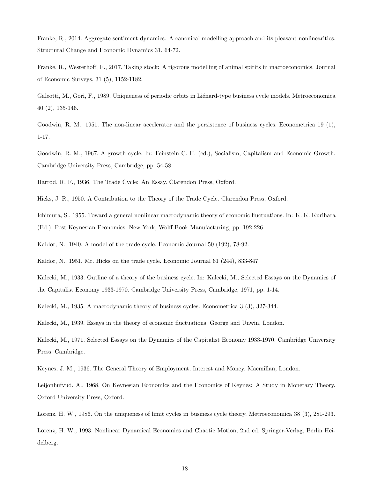Franke, R., 2014. Aggregate sentiment dynamics: A canonical modelling approach and its pleasant nonlinearities. Structural Change and Economic Dynamics 31, 64-72.

Franke, R., Westerhoff, F., 2017. Taking stock: A rigorous modelling of animal spirits in macroeconomics. Journal of Economic Surveys, 31 (5), 1152-1182.

Galeotti, M., Gori, F., 1989. Uniqueness of periodic orbits in Liénard-type business cycle models. Metroeconomica 40 (2), 135-146.

Goodwin, R. M., 1951. The non-linear accelerator and the persistence of business cycles. Econometrica 19 (1), 1-17.

Goodwin, R. M., 1967. A growth cycle. In: Feinstein C. H. (ed.), Socialism, Capitalism and Economic Growth. Cambridge University Press, Cambridge, pp. 54-58.

Harrod, R. F., 1936. The Trade Cycle: An Essay. Clarendon Press, Oxford.

Hicks, J. R., 1950. A Contribution to the Theory of the Trade Cycle. Clarendon Press, Oxford.

Ichimura, S., 1955. Toward a general nonlinear macrodynamic theory of economic fluctuations. In: K. K. Kurihara (Ed.), Post Keynesian Economics. New York, Wolff Book Manufacturing, pp. 192-226.

Kaldor, N., 1940. A model of the trade cycle. Economic Journal 50 (192), 78-92.

Kaldor, N., 1951. Mr. Hicks on the trade cycle. Economic Journal 61 (244), 833-847.

Kalecki, M., 1933. Outline of a theory of the business cycle. In: Kalecki, M., Selected Essays on the Dynamics of the Capitalist Economy 1933-1970. Cambridge University Press, Cambridge, 1971, pp. 1-14.

Kalecki, M., 1935. A macrodynamic theory of business cycles. Econometrica 3 (3), 327-344.

Kalecki, M., 1939. Essays in the theory of economic fluctuations. George and Unwin, London.

Kalecki, M., 1971. Selected Essays on the Dynamics of the Capitalist Economy 1933-1970. Cambridge University Press, Cambridge.

Keynes, J. M., 1936. The General Theory of Employment, Interest and Money. Macmillan, London.

Leijonhufvud, A., 1968. On Keynesian Economics and the Economics of Keynes: A Study in Monetary Theory. Oxford University Press, Oxford.

Lorenz, H. W., 1986. On the uniqueness of limit cycles in business cycle theory. Metroeconomica 38 (3), 281-293.

Lorenz, H. W., 1993. Nonlinear Dynamical Economics and Chaotic Motion, 2nd ed. Springer-Verlag, Berlin Heidelberg.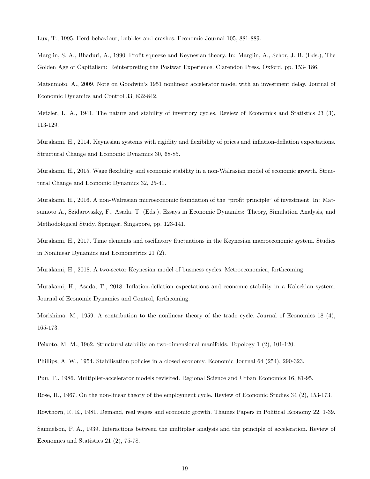Lux, T., 1995. Herd behaviour, bubbles and crashes. Economic Journal 105, 881-889.

Marglin, S. A., Bhaduri, A., 1990. Profit squeeze and Keynesian theory. In: Marglin, A., Schor, J. B. (Eds.), The Golden Age of Capitalism: Reinterpreting the Postwar Experience. Clarendon Press, Oxford, pp. 153- 186.

Matsumoto, A., 2009. Note on Goodwin's 1951 nonlinear accelerator model with an investment delay. Journal of Economic Dynamics and Control 33, 832-842.

Metzler, L. A., 1941. The nature and stability of inventory cycles. Review of Economics and Statistics 23 (3), 113-129.

Murakami, H., 2014. Keynesian systems with rigidity and flexibility of prices and inflation-deflation expectations. Structural Change and Economic Dynamics 30, 68-85.

Murakami, H., 2015. Wage flexibility and economic stability in a non-Walrasian model of economic growth. Structural Change and Economic Dynamics 32, 25-41.

Murakami, H., 2016. A non-Walrasian microeconomic foundation of the "profit principle" of investment. In: Matsumoto A., Szidarovszky, F., Asada, T. (Eds.), Essays in Economic Dynamics: Theory, Simulation Analysis, and Methodological Study. Springer, Singapore, pp. 123-141.

Murakami, H., 2017. Time elements and oscillatory fluctuations in the Keynesian macroeconomic system. Studies in Nonlinear Dynamics and Econometrics 21 (2).

Murakami, H., 2018. A two-sector Keynesian model of business cycles. Metroeconomica, forthcoming.

Murakami, H., Asada, T., 2018. Inflation-deflation expectations and economic stability in a Kaleckian system. Journal of Economic Dynamics and Control, forthcoming.

Morishima, M., 1959. A contribution to the nonlinear theory of the trade cycle. Journal of Economics 18 (4), 165-173.

Peixoto, M. M., 1962. Structural stability on two-dimensional manifolds. Topology 1 (2), 101-120.

Phillips, A. W., 1954. Stabilisation policies in a closed economy. Economic Journal 64 (254), 290-323.

Puu, T., 1986. Multiplier-accelerator models revisited. Regional Science and Urban Economics 16, 81-95.

Rose, H., 1967. On the non-linear theory of the employment cycle. Review of Economic Studies 34 (2), 153-173.

Rowthorn, R. E., 1981. Demand, real wages and economic growth. Thames Papers in Political Economy 22, 1-39.

Samuelson, P. A., 1939. Interactions between the multiplier analysis and the principle of acceleration. Review of Economics and Statistics 21 (2), 75-78.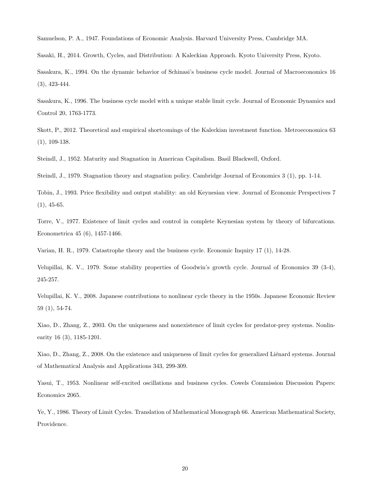Samuelson, P. A., 1947. Foundations of Economic Analysis. Harvard University Press, Cambridge MA.

Sasaki, H., 2014. Growth, Cycles, and Distribution: A Kaleckian Approach. Kyoto University Press, Kyoto.

Sasakura, K., 1994. On the dynamic behavior of Schinasi's business cycle model. Journal of Macroeconomics 16 (3), 423-444.

Sasakura, K., 1996. The business cycle model with a unique stable limit cycle. Journal of Economic Dynamics and Control 20, 1763-1773.

Skott, P., 2012. Theoretical and empirical shortcomings of the Kaleckian investment function. Metroeconomica 63 (1), 109-138.

Steindl, J., 1952. Maturity and Stagnation in American Capitalism. Basil Blackwell, Oxford.

Steindl, J., 1979. Stagnation theory and stagnation policy. Cambridge Journal of Economics 3 (1), pp. 1-14.

Tobin, J., 1993. Price flexibility and output stability: an old Keynesian view. Journal of Economic Perspectives 7  $(1), 45-65.$ 

Torre, V., 1977. Existence of limit cycles and control in complete Keynesian system by theory of bifurcations. Econometrica 45 (6), 1457-1466.

Varian, H. R., 1979. Catastrophe theory and the business cycle. Economic Inquiry 17 (1), 14-28.

Velupillai, K. V., 1979. Some stability properties of Goodwin's growth cycle. Journal of Economics 39 (3-4), 245-257.

Velupillai, K. V., 2008. Japanese contributions to nonlinear cycle theory in the 1950s. Japanese Economic Review 59 (1), 54-74.

Xiao, D., Zhang, Z., 2003. On the uniqueness and nonexistence of limit cycles for predator-prey systems. Nonlinearity 16 (3), 1185-1201.

Xiao, D., Zhang, Z., 2008. On the existence and uniqueness of limit cycles for generalized Liénard systems. Journal of Mathematical Analysis and Applications 343, 299-309.

Yasui, T., 1953. Nonlinear self-excited oscillations and business cycles. Cowels Commission Discussion Papers: Economics 2065.

Ye, Y., 1986. Theory of Limit Cycles. Translation of Mathematical Monograph 66. American Mathematical Society, Providence.